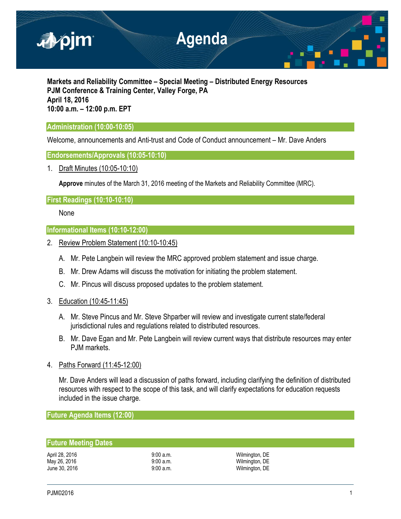

**Markets and Reliability Committee – Special Meeting – Distributed Energy Resources PJM Conference & Training Center, Valley Forge, PA April 18, 2016 10:00 a.m. – 12:00 p.m. EPT**

# **Administration (10:00-10:05)**

Welcome, announcements and Anti-trust and Code of Conduct announcement – Mr. Dave Anders

## **Endorsements/Approvals (10:05-10:10)**

1. Draft Minutes (10:05-10:10)

**Approve** minutes of the March 31, 2016 meeting of the Markets and Reliability Committee (MRC).

# **First Readings (10:10-10:10)**

None

## **Informational Items (10:10-12:00)**

- 2. Review Problem Statement (10:10-10:45)
	- A. Mr. Pete Langbein will review the MRC approved problem statement and issue charge.
	- B. Mr. Drew Adams will discuss the motivation for initiating the problem statement.
	- C. Mr. Pincus will discuss proposed updates to the problem statement.
- 3. Education (10:45-11:45)
	- A. Mr. Steve Pincus and Mr. Steve Shparber will review and investigate current state/federal jurisdictional rules and regulations related to distributed resources.
	- B. Mr. Dave Egan and Mr. Pete Langbein will review current ways that distribute resources may enter PJM markets.
- 4. Paths Forward (11:45-12:00)

Mr. Dave Anders will lead a discussion of paths forward, including clarifying the definition of distributed resources with respect to the scope of this task, and will clarify expectations for education requests included in the issue charge.

**Future Agenda Items (12:00)**

## **Future Meeting Dates**

April 28, 2016 **19:00 a.m.** 9:00 a.m. 19:00 a.m. 19:00 a.m. 19:00 a.m. 19:00 a.m. 19:00 a.m. 19:00 a.m. 19:00 a.m. 19:00 a.m. 19:00 a.m. 19:00 a.m. 19:00 a.m. 19:00 a.m. 19:00 a.m. 19:00 a.m. 19:00 a.m. 19:00 a.m. 19:00 a. Wilmington, DE June 30, 2016 **19:00 a.m.** 9:00 a.m. **Wilmington**, DE